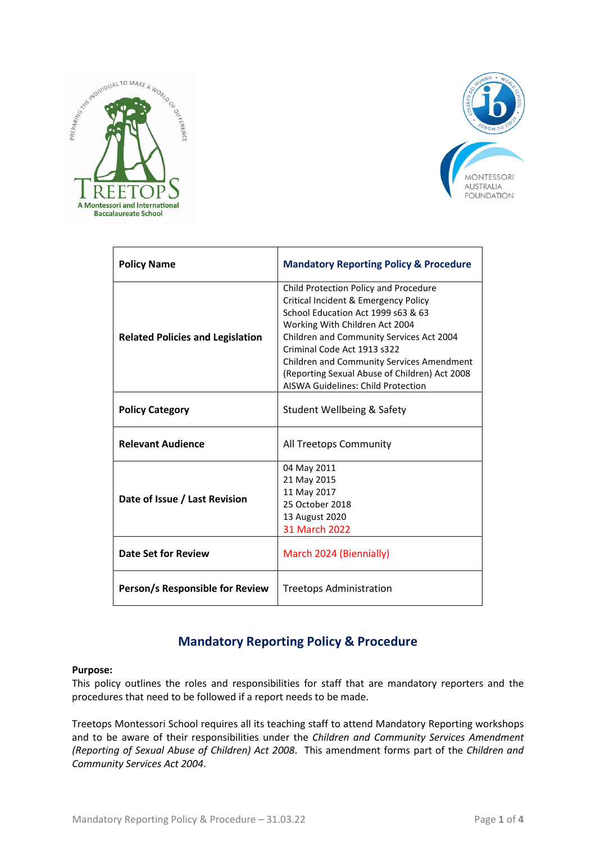



| <b>Policy Name</b>                      | <b>Mandatory Reporting Policy &amp; Procedure</b>                                                                                                                                                                                                                                                                                                                                  |
|-----------------------------------------|------------------------------------------------------------------------------------------------------------------------------------------------------------------------------------------------------------------------------------------------------------------------------------------------------------------------------------------------------------------------------------|
| <b>Related Policies and Legislation</b> | Child Protection Policy and Procedure<br>Critical Incident & Emergency Policy<br>School Education Act 1999 s63 & 63<br>Working With Children Act 2004<br>Children and Community Services Act 2004<br>Criminal Code Act 1913 s322<br><b>Children and Community Services Amendment</b><br>(Reporting Sexual Abuse of Children) Act 2008<br><b>AISWA Guidelines: Child Protection</b> |
| <b>Policy Category</b>                  | Student Wellbeing & Safety                                                                                                                                                                                                                                                                                                                                                         |
| <b>Relevant Audience</b>                | All Treetops Community                                                                                                                                                                                                                                                                                                                                                             |
| Date of Issue / Last Revision           | 04 May 2011<br>21 May 2015<br>11 May 2017<br>25 October 2018<br>13 August 2020<br>31 March 2022                                                                                                                                                                                                                                                                                    |
| Date Set for Review                     | March 2024 (Biennially)                                                                                                                                                                                                                                                                                                                                                            |
| Person/s Responsible for Review         | <b>Treetops Administration</b>                                                                                                                                                                                                                                                                                                                                                     |

# **Mandatory Reporting Policy & Procedure**

#### **Purpose:**

This policy outlines the roles and responsibilities for staff that are mandatory reporters and the procedures that need to be followed if a report needs to be made.

Treetops Montessori School requires all its teaching staff to attend Mandatory Reporting workshops and to be aware of their responsibilities under the *Children and Community Services Amendment (Reporting of Sexual Abuse of Children) Act 2008*. This amendment forms part of the *Children and Community Services Act 2004*.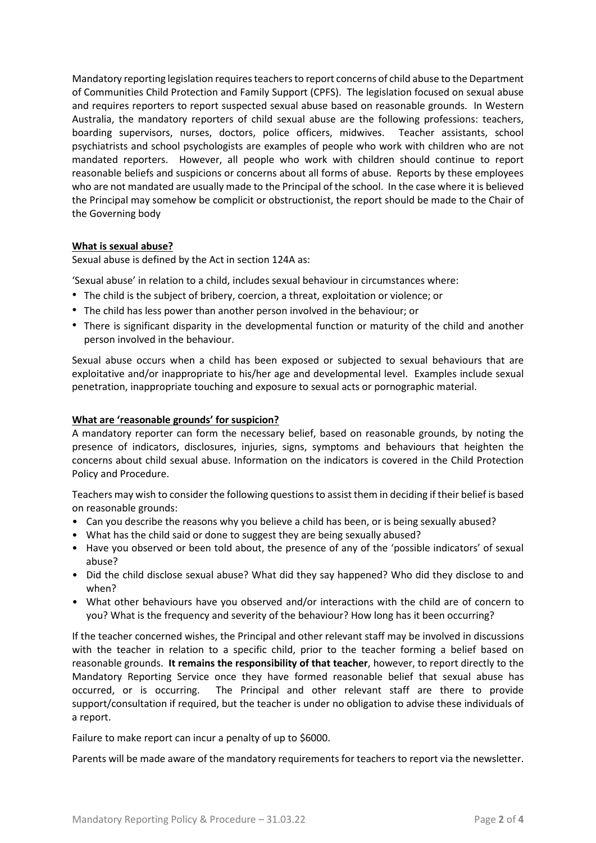Mandatory reporting legislation requires teachers to report concerns of child abuse to the Department of Communities Child Protection and Family Support (CPFS). The legislation focused on sexual abuse and requires reporters to report suspected sexual abuse based on reasonable grounds. In Western Australia, the mandatory reporters of child sexual abuse are the following professions: teachers, boarding supervisors, nurses, doctors, police officers, midwives. Teacher assistants, school psychiatrists and school psychologists are examples of people who work with children who are not mandated reporters. However, all people who work with children should continue to report reasonable beliefs and suspicions or concerns about all forms of abuse. Reports by these employees who are not mandated are usually made to the Principal of the school. In the case where it is believed the Principal may somehow be complicit or obstructionist, the report should be made to the Chair of the Governing body

# **What is sexual abuse?**

Sexual abuse is defined by the Act in section 124A as:

'Sexual abuse' in relation to a child, includes sexual behaviour in circumstances where:

- The child is the subject of bribery, coercion, a threat, exploitation or violence; or
- The child has less power than another person involved in the behaviour; or
- There is significant disparity in the developmental function or maturity of the child and another person involved in the behaviour.

Sexual abuse occurs when a child has been exposed or subjected to sexual behaviours that are exploitative and/or inappropriate to his/her age and developmental level. Examples include sexual penetration, inappropriate touching and exposure to sexual acts or pornographic material.

#### **What are 'reasonable grounds' for suspicion?**

A mandatory reporter can form the necessary belief, based on reasonable grounds, by noting the presence of indicators, disclosures, injuries, signs, symptoms and behaviours that heighten the concerns about child sexual abuse. Information on the indicators is covered in the Child Protection Policy and Procedure.

Teachers may wish to consider the following questionsto assist them in deciding if their belief is based on reasonable grounds:

- Can you describe the reasons why you believe a child has been, or is being sexually abused?
- What has the child said or done to suggest they are being sexually abused?
- Have you observed or been told about, the presence of any of the 'possible indicators' of sexual abuse?
- Did the child disclose sexual abuse? What did they say happened? Who did they disclose to and when?
- What other behaviours have you observed and/or interactions with the child are of concern to you? What is the frequency and severity of the behaviour? How long has it been occurring?

If the teacher concerned wishes, the Principal and other relevant staff may be involved in discussions with the teacher in relation to a specific child, prior to the teacher forming a belief based on reasonable grounds. **It remains the responsibility of that teacher**, however, to report directly to the Mandatory Reporting Service once they have formed reasonable belief that sexual abuse has occurred, or is occurring. The Principal and other relevant staff are there to provide support/consultation if required, but the teacher is under no obligation to advise these individuals of a report.

Failure to make report can incur a penalty of up to \$6000.

Parents will be made aware of the mandatory requirements for teachers to report via the newsletter.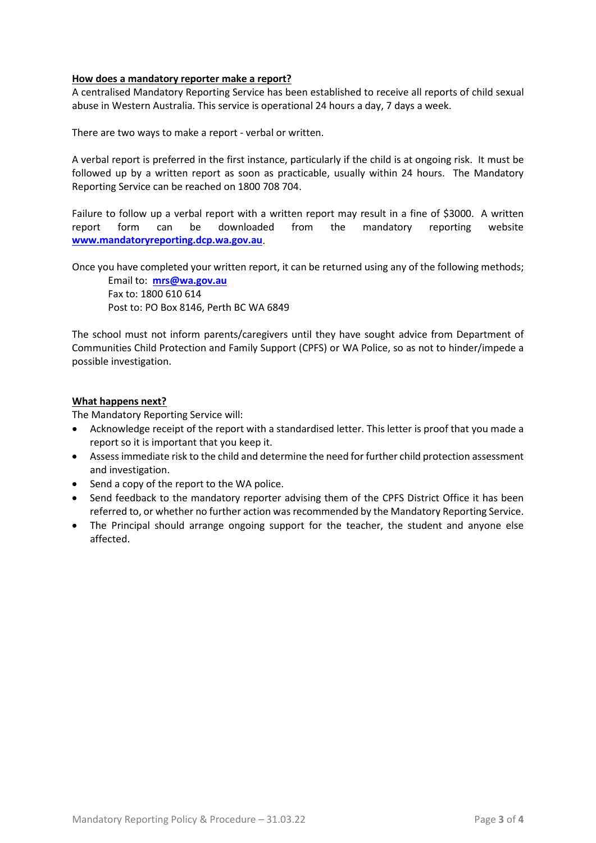### **How does a mandatory reporter make a report?**

A centralised Mandatory Reporting Service has been established to receive all reports of child sexual abuse in Western Australia. This service is operational 24 hours a day, 7 days a week.

There are two ways to make a report - verbal or written.

A verbal report is preferred in the first instance, particularly if the child is at ongoing risk. It must be followed up by a written report as soon as practicable, usually within 24 hours. The Mandatory Reporting Service can be reached on 1800 708 704.

Failure to follow up a verbal report with a written report may result in a fine of \$3000. A written report form can be downloaded from the mandatory reporting website **[www.mandatoryreporting.dcp.wa.gov.au](http://www.mandatoryreporting.dcp.wa.gov.au/)**.

Once you have completed your written report, it can be returned using any of the following methods;

Email to: **[mrs@wa.gov.au](mailto:mrs@wa.gov.au)** Fax to: 1800 610 614 Post to: PO Box 8146, Perth BC WA 6849

The school must not inform parents/caregivers until they have sought advice from Department of Communities Child Protection and Family Support (CPFS) or WA Police, so as not to hinder/impede a possible investigation.

# **What happens next?**

The Mandatory Reporting Service will:

- Acknowledge receipt of the report with a standardised letter. This letter is proof that you made a report so it is important that you keep it.
- Assess immediate risk to the child and determine the need for further child protection assessment and investigation.
- Send a copy of the report to the WA police.
- Send feedback to the mandatory reporter advising them of the CPFS District Office it has been referred to, or whether no further action was recommended by the Mandatory Reporting Service.
- The Principal should arrange ongoing support for the teacher, the student and anyone else affected.